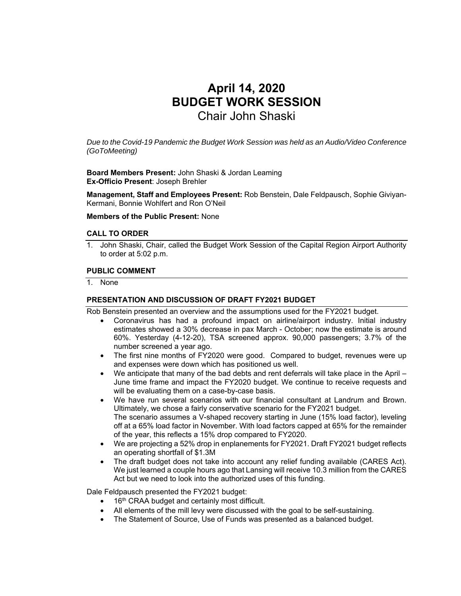# **April 14, 2020 BUDGET WORK SESSION**  Chair John Shaski

*Due to the Covid-19 Pandemic the Budget Work Session was held as an Audio/Video Conference (GoToMeeting)* 

**Board Members Present:** John Shaski & Jordan Leaming **Ex-Officio Present**: Joseph Brehler

**Management, Staff and Employees Present:** Rob Benstein, Dale Feldpausch, Sophie Giviyan-Kermani, Bonnie Wohlfert and Ron O'Neil

**Members of the Public Present:** None

#### **CALL TO ORDER**

1. John Shaski, Chair, called the Budget Work Session of the Capital Region Airport Authority to order at 5:02 p.m.

#### **PUBLIC COMMENT**

1. None

#### **PRESENTATION AND DISCUSSION OF DRAFT FY2021 BUDGET**

Rob Benstein presented an overview and the assumptions used for the FY2021 budget.

- Coronavirus has had a profound impact on airline/airport industry. Initial industry estimates showed a 30% decrease in pax March - October; now the estimate is around 60%. Yesterday (4-12-20), TSA screened approx. 90,000 passengers; 3.7% of the number screened a year ago.
- The first nine months of FY2020 were good. Compared to budget, revenues were up and expenses were down which has positioned us well.
- We anticipate that many of the bad debts and rent deferrals will take place in the April June time frame and impact the FY2020 budget. We continue to receive requests and will be evaluating them on a case-by-case basis.
- We have run several scenarios with our financial consultant at Landrum and Brown. Ultimately, we chose a fairly conservative scenario for the FY2021 budget. The scenario assumes a V-shaped recovery starting in June (15% load factor), leveling off at a 65% load factor in November. With load factors capped at 65% for the remainder of the year, this reflects a 15% drop compared to FY2020.
- We are projecting a 52% drop in enplanements for FY2021. Draft FY2021 budget reflects an operating shortfall of \$1.3M
- The draft budget does not take into account any relief funding available (CARES Act). We just learned a couple hours ago that Lansing will receive 10.3 million from the CARES Act but we need to look into the authorized uses of this funding.

Dale Feldpausch presented the FY2021 budget:

- 16<sup>th</sup> CRAA budget and certainly most difficult.
- All elements of the mill levy were discussed with the goal to be self-sustaining.
- The Statement of Source, Use of Funds was presented as a balanced budget.